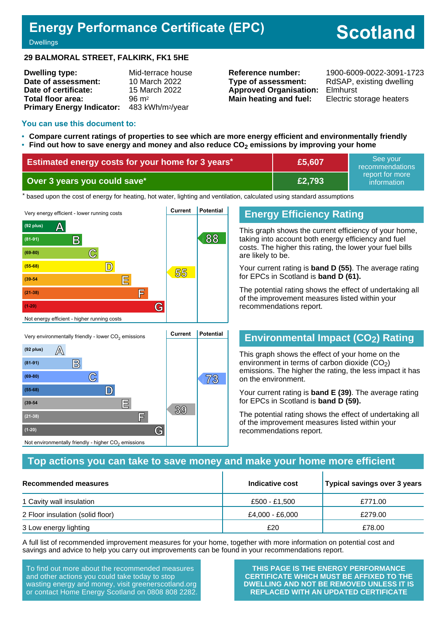## **Energy Performance Certificate (EPC)**

# **Scotland**

#### **Dwellings**

#### **29 BALMORAL STREET, FALKIRK, FK1 5HE**

| <b>Dwelling type:</b>                     | Mid-terrace house |
|-------------------------------------------|-------------------|
| Date of assessment:                       | 10 March 2022     |
| Date of certificate:                      | 15 March 2022     |
| Total floor area:                         | $96 \text{ m}^2$  |
| Primary Energy Indicator: 483 kWh/m2/year |                   |

**Type of assessment:** RdSAP, existing dwelling **Approved Organisation:** Elmhurst **Main heating and fuel:** Electric storage heaters

**Reference number:** 1900-6009-0022-3091-1723

#### **You can use this document to:**

- **Compare current ratings of properties to see which are more energy efficient and environmentally friendly**
- **Find out how to save energy and money and also reduce CO2 emissions by improving your home**

| Estimated energy costs for your home for 3 years* | £5,607 | See your<br>recommendations                 |
|---------------------------------------------------|--------|---------------------------------------------|
| Over 3 years you could save*                      | £2,793 | report for more<br>information <sup>1</sup> |

the based upon the cost of energy for heating, hot water, lighting and ventilation, calculated using standard assumptions



**C 73 (69-80)**

**(55-68) D**

**(39-54 E**

**(21-38) F**

Not environmentally friendly - higher  $\mathrm{CO}_2$  emissions

**(1-20) G**

## **Energy Efficiency Rating**

This graph shows the current efficiency of your home, taking into account both energy efficiency and fuel costs. The higher this rating, the lower your fuel bills are likely to be.

Your current rating is **band D (55)**. The average rating for EPCs in Scotland is **band D (61).**

The potential rating shows the effect of undertaking all of the improvement measures listed within your recommendations report.

## **Environmental Impact (CO2) Rating**

This graph shows the effect of your home on the environment in terms of carbon dioxide  $(CO<sub>2</sub>)$ emissions. The higher the rating, the less impact it has on the environment.

Your current rating is **band E (39)**. The average rating for EPCs in Scotland is **band D (59).**

The potential rating shows the effect of undertaking all of the improvement measures listed within your recommendations report.

## **Top actions you can take to save money and make your home more efficient**

**39**

| Recommended measures             | Indicative cost | Typical savings over 3 years |
|----------------------------------|-----------------|------------------------------|
| 1 Cavity wall insulation         | £500 - £1.500   | £771.00                      |
| 2 Floor insulation (solid floor) | £4,000 - £6,000 | £279.00                      |
| 3 Low energy lighting            | £20             | £78.00                       |

A full list of recommended improvement measures for your home, together with more information on potential cost and savings and advice to help you carry out improvements can be found in your recommendations report.

To find out more about the recommended measures and other actions you could take today to stop wasting energy and money, visit greenerscotland.org or contact Home Energy Scotland on 0808 808 2282.

**THIS PAGE IS THE ENERGY PERFORMANCE CERTIFICATE WHICH MUST BE AFFIXED TO THE DWELLING AND NOT BE REMOVED UNLESS IT IS REPLACED WITH AN UPDATED CERTIFICATE**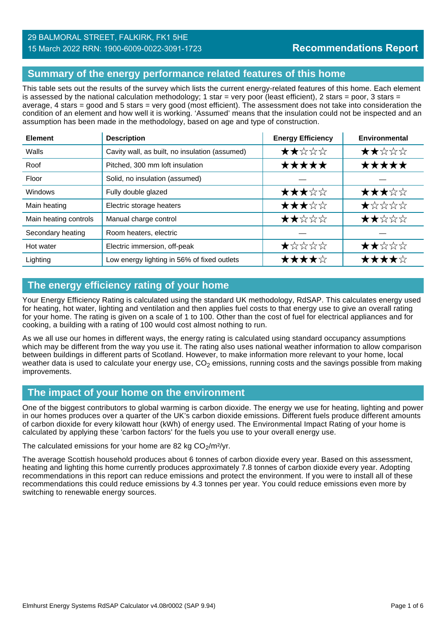## **Summary of the energy performance related features of this home**

This table sets out the results of the survey which lists the current energy-related features of this home. Each element is assessed by the national calculation methodology; 1 star = very poor (least efficient), 2 stars = poor, 3 stars = average, 4 stars = good and 5 stars = very good (most efficient). The assessment does not take into consideration the condition of an element and how well it is working. 'Assumed' means that the insulation could not be inspected and an assumption has been made in the methodology, based on age and type of construction.

| <b>Element</b>        | <b>Description</b>                             | <b>Energy Efficiency</b> | Environmental      |
|-----------------------|------------------------------------------------|--------------------------|--------------------|
| Walls                 | Cavity wall, as built, no insulation (assumed) | ★★☆☆☆                    | ★★☆☆☆              |
| Roof                  | Pitched, 300 mm loft insulation                | ★★★★★                    | ★★★★★              |
| Floor                 | Solid, no insulation (assumed)                 |                          |                    |
| <b>Windows</b>        | Fully double glazed                            | ★★★☆☆                    | ★★★☆☆              |
| Main heating          | Electric storage heaters                       | ★★★☆☆                    | $\bigstar$ * * * * |
| Main heating controls | Manual charge control                          | ★★☆☆☆                    | ★★☆☆☆              |
| Secondary heating     | Room heaters, electric                         |                          |                    |
| Hot water             | Electric immersion, off-peak                   | ★☆☆☆☆                    | ★★☆☆☆              |
| Lighting              | Low energy lighting in 56% of fixed outlets    | ★★★★☆                    | ★★★★☆              |

## **The energy efficiency rating of your home**

Your Energy Efficiency Rating is calculated using the standard UK methodology, RdSAP. This calculates energy used for heating, hot water, lighting and ventilation and then applies fuel costs to that energy use to give an overall rating for your home. The rating is given on a scale of 1 to 100. Other than the cost of fuel for electrical appliances and for cooking, a building with a rating of 100 would cost almost nothing to run.

As we all use our homes in different ways, the energy rating is calculated using standard occupancy assumptions which may be different from the way you use it. The rating also uses national weather information to allow comparison between buildings in different parts of Scotland. However, to make information more relevant to your home, local weather data is used to calculate your energy use,  $CO<sub>2</sub>$  emissions, running costs and the savings possible from making improvements.

## **The impact of your home on the environment**

One of the biggest contributors to global warming is carbon dioxide. The energy we use for heating, lighting and power in our homes produces over a quarter of the UK's carbon dioxide emissions. Different fuels produce different amounts of carbon dioxide for every kilowatt hour (kWh) of energy used. The Environmental Impact Rating of your home is calculated by applying these 'carbon factors' for the fuels you use to your overall energy use.

The calculated emissions for your home are 82 kg  $CO<sub>2</sub>/m<sup>2</sup>/yr$ .

The average Scottish household produces about 6 tonnes of carbon dioxide every year. Based on this assessment, heating and lighting this home currently produces approximately 7.8 tonnes of carbon dioxide every year. Adopting recommendations in this report can reduce emissions and protect the environment. If you were to install all of these recommendations this could reduce emissions by 4.3 tonnes per year. You could reduce emissions even more by switching to renewable energy sources.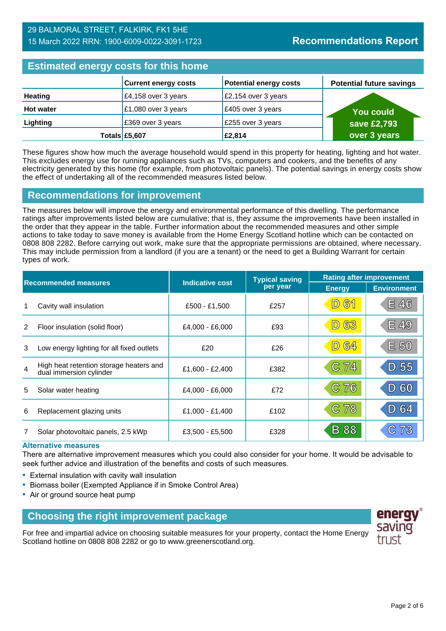## 29 BALMORAL STREET, FALKIRK, FK1 5HE 15 March 2022 RRN: 1900-6009-0022-3091-1723

## **Estimated energy costs for this home**

| <b>EDITION OF STRING AND TO MANY HOLDING</b> |                             |                               |                                 |  |
|----------------------------------------------|-----------------------------|-------------------------------|---------------------------------|--|
|                                              | <b>Current energy costs</b> | <b>Potential energy costs</b> | <b>Potential future savings</b> |  |
| <b>Heating</b>                               | £4,158 over 3 years         | £2,154 over 3 years           |                                 |  |
| <b>Hot water</b>                             | £1,080 over 3 years         | £405 over 3 years             | <b>You could</b>                |  |
| Lighting                                     | £369 over 3 years           | £255 over 3 years             | save £2,793                     |  |
|                                              | Totals £5,607               | £2,814                        | over 3 years                    |  |

These figures show how much the average household would spend in this property for heating, lighting and hot water. This excludes energy use for running appliances such as TVs, computers and cookers, and the benefits of any electricity generated by this home (for example, from photovoltaic panels). The potential savings in energy costs show the effect of undertaking all of the recommended measures listed below.

## **Recommendations for improvement**

The measures below will improve the energy and environmental performance of this dwelling. The performance ratings after improvements listed below are cumulative; that is, they assume the improvements have been installed in the order that they appear in the table. Further information about the recommended measures and other simple actions to take today to save money is available from the Home Energy Scotland hotline which can be contacted on 0808 808 2282. Before carrying out work, make sure that the appropriate permissions are obtained, where necessary. This may include permission from a landlord (if you are a tenant) or the need to get a Building Warrant for certain types of work.

| <b>Recommended measures</b> |                                                                    |                        | <b>Typical saving</b> | <b>Rating after improvement</b> |                    |
|-----------------------------|--------------------------------------------------------------------|------------------------|-----------------------|---------------------------------|--------------------|
|                             |                                                                    | <b>Indicative cost</b> | per year              | <b>Energy</b>                   | <b>Environment</b> |
|                             | Cavity wall insulation                                             | £500 - £1,500          | £257                  | 61<br>$\boxed{\mathsf{D}}$      | E 46               |
| 2                           | Floor insulation (solid floor)                                     | $£4,000 - £6,000$      | £93                   | <b>D 63</b>                     | E 49               |
| 3                           | Low energy lighting for all fixed outlets                          | £20                    | £26                   | <b>D 64</b>                     | E 50               |
| $\overline{4}$              | High heat retention storage heaters and<br>dual immersion cylinder | £1,600 - £2,400        | £382                  | C 74                            | 55<br>D)           |
| 5                           | Solar water heating                                                | £4,000 - £6,000        | £72                   | C76                             | 60<br>$ D\rangle$  |
| 6                           | Replacement glazing units                                          | £1,000 - £1,400        | £102                  | C 78                            | D 64               |
|                             | Solar photovoltaic panels, 2.5 kWp                                 | $£3,500 - £5,500$      | £328                  | <b>B</b> 88                     |                    |

#### **Alternative measures**

There are alternative improvement measures which you could also consider for your home. It would be advisable to seek further advice and illustration of the benefits and costs of such measures.

- External insulation with cavity wall insulation
- Biomass boiler (Exempted Appliance if in Smoke Control Area)
- Air or ground source heat pump

## **Choosing the right improvement package**

For free and impartial advice on choosing suitable measures for your property, contact the Home Energy Scotland hotline on 0808 808 2282 or go to www.greenerscotland.org.

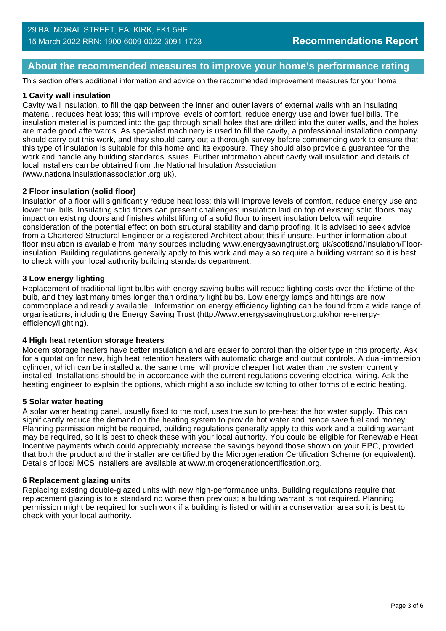## **About the recommended measures to improve your home's performance rating**

This section offers additional information and advice on the recommended improvement measures for your home

#### **1 Cavity wall insulation**

Cavity wall insulation, to fill the gap between the inner and outer layers of external walls with an insulating material, reduces heat loss; this will improve levels of comfort, reduce energy use and lower fuel bills. The insulation material is pumped into the gap through small holes that are drilled into the outer walls, and the holes are made good afterwards. As specialist machinery is used to fill the cavity, a professional installation company should carry out this work, and they should carry out a thorough survey before commencing work to ensure that this type of insulation is suitable for this home and its exposure. They should also provide a guarantee for the work and handle any building standards issues. Further information about cavity wall insulation and details of local installers can be obtained from the National Insulation Association (www.nationalinsulationassociation.org.uk).

#### **2 Floor insulation (solid floor)**

Insulation of a floor will significantly reduce heat loss; this will improve levels of comfort, reduce energy use and lower fuel bills. Insulating solid floors can present challenges; insulation laid on top of existing solid floors may impact on existing doors and finishes whilst lifting of a solid floor to insert insulation below will require consideration of the potential effect on both structural stability and damp proofing. It is advised to seek advice from a Chartered Structural Engineer or a registered Architect about this if unsure. Further information about floor insulation is available from many sources including www.energysavingtrust.org.uk/scotland/Insulation/Floorinsulation. Building regulations generally apply to this work and may also require a building warrant so it is best to check with your local authority building standards department.

#### **3 Low energy lighting**

Replacement of traditional light bulbs with energy saving bulbs will reduce lighting costs over the lifetime of the bulb, and they last many times longer than ordinary light bulbs. Low energy lamps and fittings are now commonplace and readily available. Information on energy efficiency lighting can be found from a wide range of organisations, including the Energy Saving Trust (http://www.energysavingtrust.org.uk/home-energyefficiency/lighting).

#### **4 High heat retention storage heaters**

Modern storage heaters have better insulation and are easier to control than the older type in this property. Ask for a quotation for new, high heat retention heaters with automatic charge and output controls. A dual-immersion cylinder, which can be installed at the same time, will provide cheaper hot water than the system currently installed. Installations should be in accordance with the current regulations covering electrical wiring. Ask the heating engineer to explain the options, which might also include switching to other forms of electric heating.

#### **5 Solar water heating**

A solar water heating panel, usually fixed to the roof, uses the sun to pre-heat the hot water supply. This can significantly reduce the demand on the heating system to provide hot water and hence save fuel and money. Planning permission might be required, building regulations generally apply to this work and a building warrant may be required, so it is best to check these with your local authority. You could be eligible for Renewable Heat Incentive payments which could appreciably increase the savings beyond those shown on your EPC, provided that both the product and the installer are certified by the Microgeneration Certification Scheme (or equivalent). Details of local MCS installers are available at www.microgenerationcertification.org.

#### **6 Replacement glazing units**

Replacing existing double-glazed units with new high-performance units. Building regulations require that replacement glazing is to a standard no worse than previous; a building warrant is not required. Planning permission might be required for such work if a building is listed or within a conservation area so it is best to check with your local authority.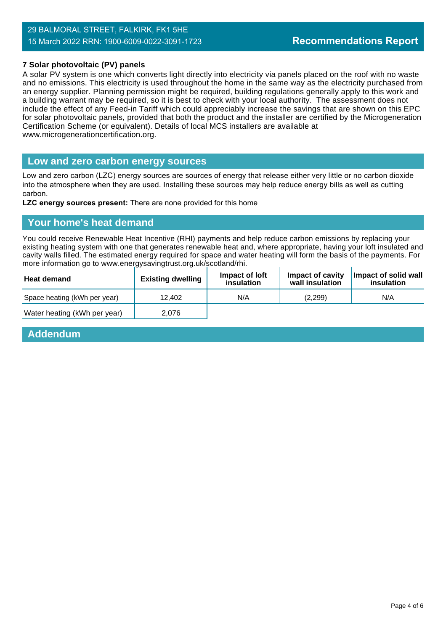#### **7 Solar photovoltaic (PV) panels**

A solar PV system is one which converts light directly into electricity via panels placed on the roof with no waste and no emissions. This electricity is used throughout the home in the same way as the electricity purchased from an energy supplier. Planning permission might be required, building regulations generally apply to this work and a building warrant may be required, so it is best to check with your local authority. The assessment does not include the effect of any Feed-in Tariff which could appreciably increase the savings that are shown on this EPC for solar photovoltaic panels, provided that both the product and the installer are certified by the Microgeneration Certification Scheme (or equivalent). Details of local MCS installers are available at www.microgenerationcertification.org.

#### **Low and zero carbon energy sources**

Low and zero carbon (LZC) energy sources are sources of energy that release either very little or no carbon dioxide into the atmosphere when they are used. Installing these sources may help reduce energy bills as well as cutting carbon.

**LZC energy sources present:** There are none provided for this home

### **Your home's heat demand**

You could receive Renewable Heat Incentive (RHI) payments and help reduce carbon emissions by replacing your existing heating system with one that generates renewable heat and, where appropriate, having your loft insulated and cavity walls filled. The estimated energy required for space and water heating will form the basis of the payments. For more information go to www.energysavingtrust.org.uk/scotland/rhi. Ŷ.

| <b>Heat demand</b>           | <b>Existing dwelling</b> | Impact of loft<br>insulation | Impact of cavity<br>wall insulation | Impact of solid wall<br>insulation |
|------------------------------|--------------------------|------------------------------|-------------------------------------|------------------------------------|
| Space heating (kWh per year) | 12.402                   | N/A                          | (2.299)                             | N/A                                |
| Water heating (kWh per year) | 2.076                    |                              |                                     |                                    |

#### **Addendum**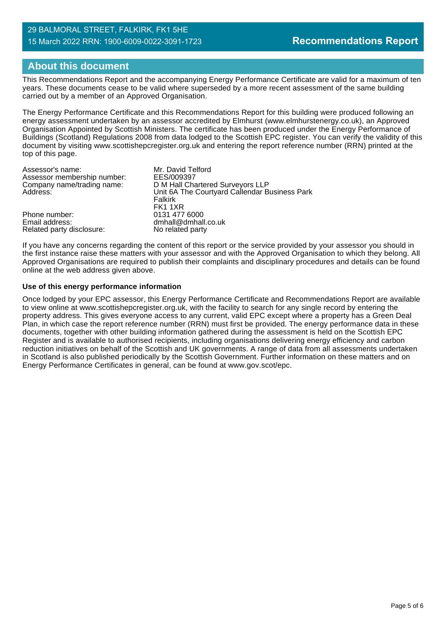#### 29 BALMORAL STREET, FALKIRK, FK1 5HE 15 March 2022 RRN: 1900-6009-0022-3091-1723

## **About this document**

This Recommendations Report and the accompanying Energy Performance Certificate are valid for a maximum of ten years. These documents cease to be valid where superseded by a more recent assessment of the same building carried out by a member of an Approved Organisation.

The Energy Performance Certificate and this Recommendations Report for this building were produced following an energy assessment undertaken by an assessor accredited by Elmhurst (www.elmhurstenergy.co.uk), an Approved Organisation Appointed by Scottish Ministers. The certificate has been produced under the Energy Performance of Buildings (Scotland) Regulations 2008 from data lodged to the Scottish EPC register. You can verify the validity of this document by visiting www.scottishepcregister.org.uk and entering the report reference number (RRN) printed at the top of this page.

| Assessor's name:            | Mr. David Telford                             |
|-----------------------------|-----------------------------------------------|
| Assessor membership number: | EES/009397                                    |
| Company name/trading name:  | D M Hall Chartered Surveyors LLP              |
| Address:                    | Unit 6A The Courtyard Callendar Business Park |
|                             | Falkirk                                       |
|                             | FK1 1XR                                       |
| Phone number:               | 0131 477 6000                                 |
| Email address:              | dmhall@dmhall.co.uk                           |
| Related party disclosure:   | No related party                              |

If you have any concerns regarding the content of this report or the service provided by your assessor you should in the first instance raise these matters with your assessor and with the Approved Organisation to which they belong. All Approved Organisations are required to publish their complaints and disciplinary procedures and details can be found online at the web address given above.

#### **Use of this energy performance information**

Once lodged by your EPC assessor, this Energy Performance Certificate and Recommendations Report are available to view online at www.scottishepcregister.org.uk, with the facility to search for any single record by entering the property address. This gives everyone access to any current, valid EPC except where a property has a Green Deal Plan, in which case the report reference number (RRN) must first be provided. The energy performance data in these documents, together with other building information gathered during the assessment is held on the Scottish EPC Register and is available to authorised recipients, including organisations delivering energy efficiency and carbon reduction initiatives on behalf of the Scottish and UK governments. A range of data from all assessments undertaken in Scotland is also published periodically by the Scottish Government. Further information on these matters and on Energy Performance Certificates in general, can be found at www.gov.scot/epc.